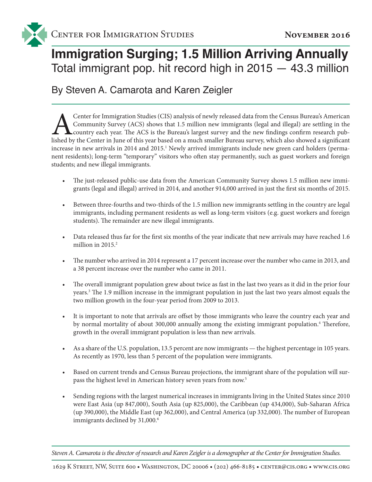

## **Immigration Surging; 1.5 Million Arriving Annually**  Total immigrant pop. hit record high in 2015 — 43.3 million

By Steven A. Camarota and Karen Zeigler

Center for Immigration Studies (CIS) analysis of newly released data from the Census Bureau's American Community Survey (ACS) shows that 1.5 million new immigrants (legal and illegal) are settling in the country each year. Community Survey (ACS) shows that 1.5 million new immigrants (legal and illegal) are settling in the country each year. The ACS is the Bureau's largest survey and the new findings confirm research pubincrease in new arrivals in 2014 and 2015.<sup>1</sup> Newly arrived immigrants include new green card holders (permanent residents); long-term "temporary" visitors who often stay permanently, such as guest workers and foreign students; and new illegal immigrants.

- The just-released public-use data from the American Community Survey shows 1.5 million new immigrants (legal and illegal) arrived in 2014, and another 914,000 arrived in just the first six months of 2015.
- Between three-fourths and two-thirds of the 1.5 million new immigrants settling in the country are legal immigrants, including permanent residents as well as long-term visitors (e.g. guest workers and foreign students). The remainder are new illegal immigrants.
- Data released thus far for the first six months of the year indicate that new arrivals may have reached 1.6 million in 2015.<sup>2</sup>
- The number who arrived in 2014 represent a 17 percent increase over the number who came in 2013, and a 38 percent increase over the number who came in 2011.
- The overall immigrant population grew about twice as fast in the last two years as it did in the prior four years.3 The 1.9 million increase in the immigrant population in just the last two years almost equals the two million growth in the four-year period from 2009 to 2013.
- It is important to note that arrivals are offset by those immigrants who leave the country each year and by normal mortality of about 300,000 annually among the existing immigrant population.<sup>4</sup> Therefore, growth in the overall immigrant population is less than new arrivals.
- As a share of the U.S. population, 13.5 percent are now immigrants the highest percentage in 105 years. As recently as 1970, less than 5 percent of the population were immigrants.
- Based on current trends and Census Bureau projections, the immigrant share of the population will surpass the highest level in American history seven years from now.5
- Sending regions with the largest numerical increases in immigrants living in the United States since 2010 were East Asia (up 847,000), South Asia (up 825,000), the Caribbean (up 434,000), Sub-Saharan Africa (up 390,000), the Middle East (up 362,000), and Central America (up 332,000). The number of European immigrants declined by 31,000.<sup>6</sup>

*Steven A. Camarota is the director of research and Karen Zeigler is a demographer at the Center for Immigration Studies.*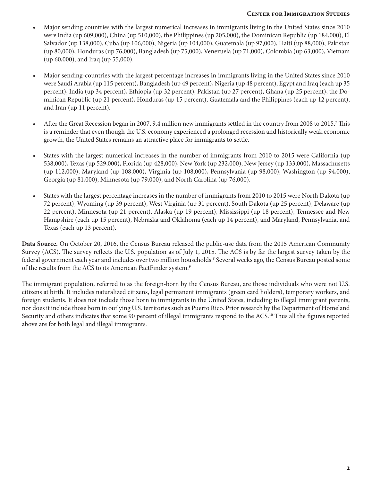## **Center for Immigration Studies**

- Major sending countries with the largest numerical increases in immigrants living in the United States since 2010 were India (up 609,000), China (up 510,000), the Philippines (up 205,000), the Dominican Republic (up 184,000), El Salvador (up 138,000), Cuba (up 106,000), Nigeria (up 104,000), Guatemala (up 97,000), Haiti (up 88,000), Pakistan (up 80,000), Honduras (up 76,000), Bangladesh (up 75,000), Venezuela (up 71,000), Colombia (up 63,000), Vietnam (up 60,000), and Iraq (up 55,000).
- Major sending-countries with the largest percentage increases in immigrants living in the United States since 2010 were Saudi Arabia (up 115 percent), Bangladesh (up 49 percent), Nigeria (up 48 percent), Egypt and Iraq (each up 35 percent), India (up 34 percent), Ethiopia (up 32 percent), Pakistan (up 27 percent), Ghana (up 25 percent), the Dominican Republic (up 21 percent), Honduras (up 15 percent), Guatemala and the Philippines (each up 12 percent), and Iran (up 11 percent).
- After the Great Recession began in 2007, 9.4 million new immigrants settled in the country from 2008 to 2015.<sup>7</sup> This is a reminder that even though the U.S. economy experienced a prolonged recession and historically weak economic growth, the United States remains an attractive place for immigrants to settle.
- States with the largest numerical increases in the number of immigrants from 2010 to 2015 were California (up 538,000), Texas (up 529,000), Florida (up 428,000), New York (up 232,000), New Jersey (up 133,000), Massachusetts (up 112,000), Maryland (up 108,000), Virginia (up 108,000), Pennsylvania (up 98,000), Washington (up 94,000), Georgia (up 81,000), Minnesota (up 79,000), and North Carolina (up 76,000).
- States with the largest percentage increases in the number of immigrants from 2010 to 2015 were North Dakota (up 72 percent), Wyoming (up 39 percent), West Virginia (up 31 percent), South Dakota (up 25 percent), Delaware (up 22 percent), Minnesota (up 21 percent), Alaska (up 19 percent), Mississippi (up 18 percent), Tennessee and New Hampshire (each up 15 percent), Nebraska and Oklahoma (each up 14 percent), and Maryland, Pennsylvania, and Texas (each up 13 percent).

**Data Source.** On October 20, 2016, the Census Bureau released the public-use data from the 2015 American Community Survey (ACS). The survey reflects the U.S. population as of July 1, 2015. The ACS is by far the largest survey taken by the federal government each year and includes over two million households.8 Several weeks ago, the Census Bureau posted some of the results from the ACS to its American FactFinder system.9

The immigrant population, referred to as the foreign-born by the Census Bureau, are those individuals who were not U.S. citizens at birth. It includes naturalized citizens, legal permanent immigrants (green card holders), temporary workers, and foreign students. It does not include those born to immigrants in the United States, including to illegal immigrant parents, nor does it include those born in outlying U.S. territories such as Puerto Rico. Prior research by the Department of Homeland Security and others indicates that some 90 percent of illegal immigrants respond to the ACS.<sup>10</sup> Thus all the figures reported above are for both legal and illegal immigrants.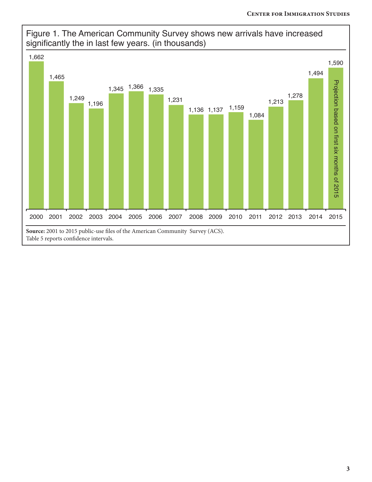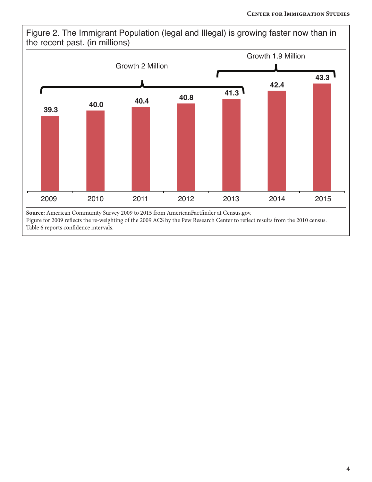Figure 2. The Immigrant Population (legal and Illegal) is growing faster now than in the recent past. (in millions)

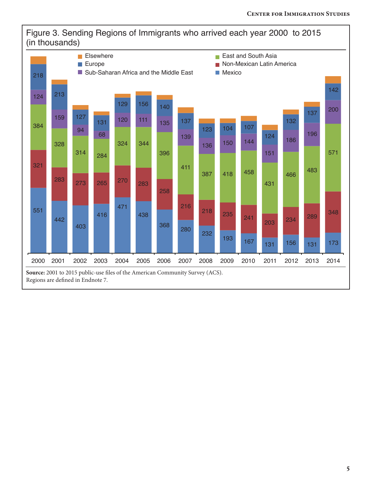

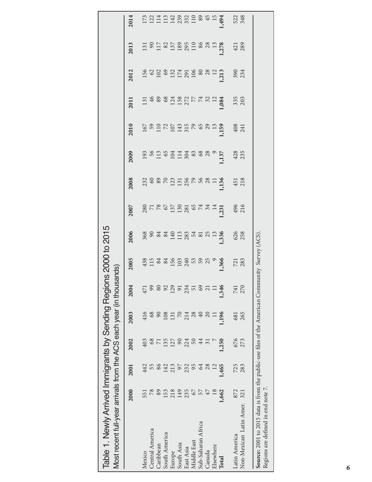| Table 1. Newly Arrived Immigrants by Sending Regions 2000 to 2015<br>Most recent full-year arrivals from the ACS each year (in thousands) |                 |       |                 |          |                 |                      |            |                                                                                                                                                                                                                               |               |            |               |                |               |                     |            |
|-------------------------------------------------------------------------------------------------------------------------------------------|-----------------|-------|-----------------|----------|-----------------|----------------------|------------|-------------------------------------------------------------------------------------------------------------------------------------------------------------------------------------------------------------------------------|---------------|------------|---------------|----------------|---------------|---------------------|------------|
|                                                                                                                                           | 2000            | 2001  | 2002            | 2003     | 2004            | 2005                 | 2006       | 2007                                                                                                                                                                                                                          | 2008          | 2009       | 2010          | 2011           | 2012          | 2013                | 2014       |
| Mexico                                                                                                                                    | 551             | 442   | 403             | 416      | 471             |                      |            |                                                                                                                                                                                                                               |               |            |               |                |               |                     |            |
| Central America                                                                                                                           | $78$            | 55    | 68              | 68       | 99              |                      |            |                                                                                                                                                                                                                               |               |            |               |                |               |                     |            |
| Caribbean                                                                                                                                 | 89              | 86    | $\overline{7}$  | 90       | $80\,$          |                      |            |                                                                                                                                                                                                                               |               |            |               |                |               |                     |            |
| South America                                                                                                                             | 153             | 142   | 135             | 108      | 92              |                      |            |                                                                                                                                                                                                                               |               |            |               |                |               |                     |            |
| Europe                                                                                                                                    | 218             | 213   | 127             | 131      | 129             |                      | 888222222  | $28786$ $-22386$ $-344$ $-14$ $-1286$ $-2596$ $-1286$ $-1596$ $-1596$ $-1596$ $-1596$ $-1596$ $-1596$ $-1596$ $-1596$ $-1596$ $-1596$ $-1596$ $-1596$ $-1596$ $-1596$ $-1596$ $-1596$ $-1596$ $-1596$ $-1596$ $-1596$ $-1596$ | 2288212288821 |            | 5022222222222 | 13488815777812 | 5238275288215 | E S E & E & S & E E |            |
| South Asia                                                                                                                                | 149             | 66    | $\infty$        | $70\,$   | $91$            |                      |            |                                                                                                                                                                                                                               |               |            |               |                |               |                     |            |
| East Asia                                                                                                                                 | 235             | 232   | 224             | 214      | 234             |                      |            |                                                                                                                                                                                                                               |               |            |               |                |               |                     |            |
| Middle East                                                                                                                               | 67              | 95    | 50              | 28       | 51              |                      |            |                                                                                                                                                                                                                               |               |            |               |                |               |                     |            |
| Sub-Saharan Africa                                                                                                                        | 57              | 64    | 44              | 40       | 69              |                      |            |                                                                                                                                                                                                                               |               |            |               |                |               |                     | 89         |
| Canada                                                                                                                                    | 47              | 28    | $\overline{31}$ | $\Omega$ | $\overline{21}$ |                      |            |                                                                                                                                                                                                                               |               |            |               |                |               |                     | 45         |
| Elsewhere                                                                                                                                 | $\overline{18}$ | 12    |                 | $\Box$   |                 |                      |            |                                                                                                                                                                                                                               |               |            |               |                |               | 8831                | 15         |
| Total                                                                                                                                     | 1,662           | 1,465 | 1,250           | 1,196    | 1,346           | 1,366                | , 336      | 1,231                                                                                                                                                                                                                         | 1,136         | 1,137      | 1,59          | ,084           | 1,213         | 1,278               | 1,494      |
| Latin America                                                                                                                             | 872             | 725   | 676             | 681      | 741             |                      |            | 496<br>216                                                                                                                                                                                                                    | 451           |            | 408<br>241    | 335            |               | 421                 | 522<br>348 |
| Non-Mexican Latin Amer.                                                                                                                   | 321             | 283   | 273             | 265      | 270             | 721<br>283           | 626<br>258 |                                                                                                                                                                                                                               | 218           | 428<br>235 |               |                | 390<br>234    |                     |            |
|                                                                                                                                           |                 |       |                 |          |                 |                      |            |                                                                                                                                                                                                                               |               |            |               |                |               |                     |            |
| Source: 2001 to 2015 data is from the public-use files of the American Comm                                                               |                 |       |                 |          |                 | nunity Survey (ACS). |            |                                                                                                                                                                                                                               |               |            |               |                |               |                     |            |
|                                                                                                                                           |                 |       |                 |          |                 |                      |            |                                                                                                                                                                                                                               |               |            |               |                |               |                     |            |
| Regions are defined in end note 7                                                                                                         |                 |       |                 |          |                 |                      |            |                                                                                                                                                                                                                               |               |            |               |                |               |                     |            |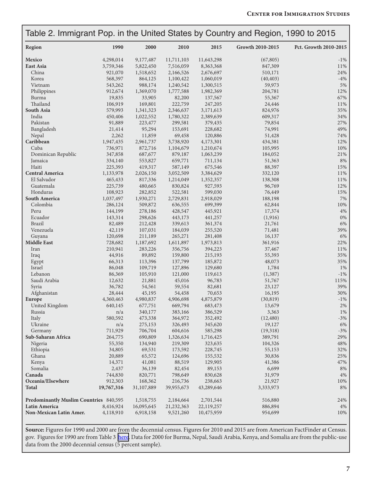|                                               | Table 2. Immigrant Pop. in the United States by Country and Region, 1990 to 2015 |            |            |            |                  |                       |  |  |
|-----------------------------------------------|----------------------------------------------------------------------------------|------------|------------|------------|------------------|-----------------------|--|--|
| Region                                        | 1990                                                                             | 2000       | 2010       | 2015       | Growth 2010-2015 | Pct. Growth 2010-2015 |  |  |
| Mexico                                        | 4,298,014                                                                        | 9,177,487  | 11,711,103 | 11,643,298 | (67, 805)        | $-1\%$                |  |  |
| East Asia                                     | 3,759,346                                                                        | 5,822,450  | 7,516,059  | 8,363,368  | 847,309          | 11%                   |  |  |
| China                                         | 921,070                                                                          | 1,518,652  | 2,166,526  | 2,676,697  | 510,171          | 24%                   |  |  |
| Korea                                         | 568,397                                                                          | 864,125    | 1,100,422  | 1,060,019  | (40, 403)        | $-4%$                 |  |  |
| Vietnam                                       | 543,262                                                                          | 988,174    | 1,240,542  | 1,300,515  | 59,973           | 5%                    |  |  |
| Philippines                                   | 912,674                                                                          | 1,369,070  | 1,777,588  | 1,982,369  | 204,781          | 12%                   |  |  |
| Burma                                         | 19,835                                                                           | 33,905     | 82,200     | 137,567    | 55,367           | 67%                   |  |  |
| Thailand                                      | 106,919                                                                          | 169,801    | 222,759    | 247,205    | 24,446           | 11%                   |  |  |
| South Asia                                    | 579,993                                                                          | 1,341,323  | 2,346,637  | 3,171,613  | 824,976          | 35%                   |  |  |
| India                                         | 450,406                                                                          | 1,022,552  | 1,780,322  | 2,389,639  | 609,317          | 34%                   |  |  |
| Pakistan                                      | 91,889                                                                           | 223,477    | 299,581    | 379,435    | 79,854           | 27%                   |  |  |
| Bangladesh                                    | 21,414                                                                           | 95,294     | 153,691    | 228,682    | 74,991           | 49%                   |  |  |
| Nepal                                         | 2,262                                                                            | 11,859     | 69,458     | 120,886    | 51,428           | 74%                   |  |  |
| Caribbean                                     | 1,947,435                                                                        | 2,961,737  | 3,738,920  | 4,173,301  | 434,381          | 12%                   |  |  |
| Cuba                                          | 736,971                                                                          | 872,716    | 1,104,679  | 1,210,674  | 105,995          | $10\%$                |  |  |
| Dominican Republic                            | 347,858                                                                          | 687,677    | 879,187    | 1,063,239  | 184,052          | 21%                   |  |  |
| Jamaica                                       | 334,140                                                                          | 553,827    | 659,771    | 711,134    | 51,363           | 8%                    |  |  |
| Haiti                                         | 225,393                                                                          | 419,317    | 587,149    | 675,546    | 88,397           | 15%                   |  |  |
| <b>Central America</b>                        | 1,133,978                                                                        | 2,026,150  | 3,052,509  | 3,384,629  | 332,120          | 11%                   |  |  |
| El Salvador                                   | 465,433                                                                          | 817,336    | 1,214,049  | 1,352,357  | 138,308          | 11%                   |  |  |
| Guatemala                                     | 225,739                                                                          | 480,665    | 830,824    | 927,593    | 96,769           | 12%                   |  |  |
| Honduras                                      | 108,923                                                                          | 282,852    | 522,581    | 599,030    | 76,449           | 15%                   |  |  |
| South America                                 | 1,037,497                                                                        | 1,930,271  | 2,729,831  | 2,918,029  | 188,198          | 7%                    |  |  |
| Colombia                                      | 286,124                                                                          | 509,872    | 636,555    | 699,399    | 62,844           | $10\%$                |  |  |
| Peru                                          | 144,199                                                                          |            |            | 445,921    |                  | $4\%$                 |  |  |
| Ecuador                                       |                                                                                  | 278,186    | 428,547    |            | 17,374           | $0\%$                 |  |  |
|                                               | 143,314                                                                          | 298,626    | 443,173    | 441,257    | (1,916)          |                       |  |  |
| <b>Brazil</b>                                 | 82,489                                                                           | 212,428    | 339,613    | 361,374    | 21,761           | 6%                    |  |  |
| Venezuela                                     | 42,119                                                                           | 107,031    | 184,039    | 255,520    | 71,481           | 39%                   |  |  |
| Guyana                                        | 120,698                                                                          | 211,189    | 265,271    | 281,408    | 16,137           | 6%                    |  |  |
| <b>Middle East</b>                            | 728,682                                                                          | 1,187,692  | 1,611,897  | 1,973,813  | 361,916          | 22%                   |  |  |
| Iran                                          | 210,941                                                                          | 283,226    | 356,756    | 394,223    | 37,467           | 11%                   |  |  |
| Iraq                                          | 44,916                                                                           | 89,892     | 159,800    | 215,193    | 55,393           | 35%                   |  |  |
| Egypt                                         | 66,313                                                                           | 113,396    | 137,799    | 185,872    | 48,073           | 35%                   |  |  |
| Israel                                        | 86,048                                                                           | 109,719    | 127,896    | 129,680    | 1,784            | 1%                    |  |  |
| Lebanon                                       | 86,369                                                                           | 105,910    | 121,000    | 119,613    | (1,387)          | $-1\%$                |  |  |
| Saudi Arabia                                  | 12,632                                                                           | 21,881     | 45,016     | 96,783     | 51,767           | 115%                  |  |  |
| Syria                                         | 36,782                                                                           | 54,561     | 59,554     | 82,681     | 23,127           | 39%                   |  |  |
| Afghanistan                                   | 28,444                                                                           | 45,195     | 54,458     | 70,653     | 16,195           | 30%                   |  |  |
| Europe                                        | 4,360,463                                                                        | 4,980,837  | 4,906,698  | 4,875,879  | (30, 819)        | $-1\%$                |  |  |
| United Kingdom                                | 640,145                                                                          | 677,751    | 669,794    | 683,473    | 13,679           | $2\%$                 |  |  |
| Russia                                        | n/a                                                                              | 340,177    | 383,166    | 386,529    | 3,363            | 1%                    |  |  |
| Italy                                         | 580,592                                                                          | 473,338    | 364,972    | 352,492    | (12, 480)        | $-3%$                 |  |  |
| Ukraine                                       | n/a                                                                              | 275,153    | 326,493    | 345,620    | 19,127           | 6%                    |  |  |
| Germany                                       | 711,929                                                                          | 706,704    | 604,616    | 585,298    | (19,318)         | $-3%$                 |  |  |
| Sub-Saharan Africa                            | 264,775                                                                          | 690,809    | 1,326,634  | 1,716,425  | 389,791          | 29%                   |  |  |
| Nigeria                                       | 55,350                                                                           | 134,940    | 219,309    | 323,635    | 104,326          | 48%                   |  |  |
| Ethiopia                                      | 34,805                                                                           | 69,531     | 173,592    | 228,745    | 55,153           | 32%                   |  |  |
| Ghana                                         | 20,889                                                                           | 65,572     | 124,696    | 155,532    | 30,836           | 25%                   |  |  |
| Kenya                                         | 14,371                                                                           | 41,081     | 88,519     | 129,905    | 41,386           | 47%                   |  |  |
| Somalia                                       | 2,437                                                                            | 36,139     | 82,454     | 89,153     | 6,699            | 8%                    |  |  |
| Canada                                        | 744,830                                                                          | 820,771    | 798,649    | 830,628    | 31,979           | $4\%$                 |  |  |
| Oceania/Elsewhere                             | 912,303                                                                          | 168,362    | 216,736    | 238,663    | 21,927           | 10%                   |  |  |
| <b>Total</b>                                  | 19,767,316                                                                       | 31,107,889 | 39,955,673 | 43,289,646 | 3,333,973        | 8%                    |  |  |
| <b>Predominantly Muslim Countries</b> 840,595 |                                                                                  | 1,518,755  | 2,184,664  | 2,701,544  | 516,880          | 24%                   |  |  |
| Latin America                                 | 8,416,924                                                                        | 16,095,645 | 21,232,363 | 22,119,257 | 886,894          | 4%                    |  |  |
| Non-Mexican Latin Amer.                       | 4,118,910                                                                        | 6,918,158  | 9,521,260  | 10,475,959 | 954,699          | 10%                   |  |  |
|                                               |                                                                                  |            |            |            |                  |                       |  |  |

**Source:** Figures for 1990 and 2000 are from the decennial census. Figures for 2010 and 2015 are from American FactFinder at Census. gov. Figures for 1990 are from Table 3 [here.](https://www.census.gov/population/www/documentation/twps0029/tab03.html) Data for 2000 for Burma, Nepal, Saudi Arabia, Kenya, and Somalia are from the public-use data from the 2000 decennial census (5 percent sample).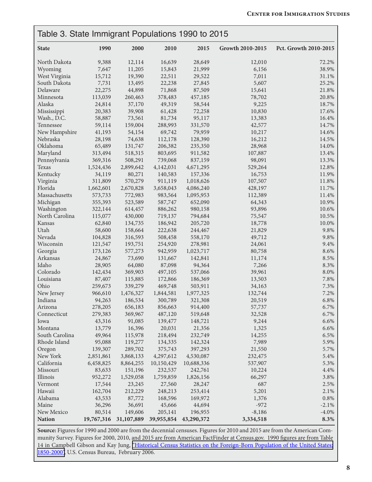|                | Table 3. State Immigrant Populations 1990 to 2015 |            |            |                       |                  |                       |  |
|----------------|---------------------------------------------------|------------|------------|-----------------------|------------------|-----------------------|--|
| <b>State</b>   | 1990                                              | 2000       | 2010       | 2015                  | Growth 2010-2015 | Pct. Growth 2010-2015 |  |
| North Dakota   | 9,388                                             | 12,114     | 16,639     | 28,649                | 12,010           | 72.2%                 |  |
| Wyoming        | 7,647                                             | 11,205     | 15,843     | 21,999                | 6,156            | 38.9%                 |  |
| West Virginia  | 15,712                                            | 19,390     | 22,511     | 29,522                | 7,011            | 31.1%                 |  |
| South Dakota   | 7,731                                             | 13,495     | 22,238     | 27,845                | 5,607            | 25.2%                 |  |
| Delaware       | 22,275                                            | 44,898     | 71,868     | 87,509                | 15,641           | 21.8%                 |  |
| Minnesota      | 113,039                                           | 260,463    | 378,483    | 457,185               | 78,702           | 20.8%                 |  |
| Alaska         | 24,814                                            | 37,170     | 49,319     | 58,544                | 9,225            | 18.7%                 |  |
| Mississippi    | 20,383                                            | 39,908     | 61,428     | 72,258                | 10,830           | 17.6%                 |  |
| Wash., D.C.    | 58,887                                            | 73,561     | 81,734     | 95,117                | 13,383           | 16.4%                 |  |
| Tennessee      | 59,114                                            | 159,004    | 288,993    | 331,570               | 42,577           | 14.7%                 |  |
| New Hampshire  | 41,193                                            | 54,154     | 69,742     | 79,959                | 10,217           | 14.6%                 |  |
| Nebraska       | 28,198                                            | 74,638     | 112,178    | 128,390               | 16,212           | 14.5%                 |  |
| Oklahoma       | 65,489                                            | 131,747    | 206,382    | 235,350               | 28,968           | 14.0%                 |  |
| Maryland       | 313,494                                           | 518,315    | 803,695    | 911,582               | 107,887          | 13.4%                 |  |
| Pennsylvania   | 369,316                                           | 508,291    | 739,068    | 837,159               | 98,091           | 13.3%                 |  |
| Texas          | 1,524,436                                         | 2,899,642  | 4,142,031  | 4,671,295             | 529,264          | 12.8%                 |  |
| Kentucky       | 34,119                                            | 80,271     | 140,583    | 157,336               | 16,753           | 11.9%                 |  |
| Virginia       | 311,809                                           | 570,279    | 911,119    | 1,018,626             | 107,507          | 11.8%                 |  |
| Florida        | 1,662,601                                         | 2,670,828  | 3,658,043  | 4,086,240             | 428,197          | 11.7%                 |  |
| Massachusetts  | 573,733                                           | 772,983    | 983,564    | 1,095,953             | 112,389          | 11.4%                 |  |
| Michigan       | 355,393                                           | 523,589    | 587,747    | 652,090               | 64,343           | 10.9%                 |  |
| Washington     | 322,144                                           | 614,457    | 886,262    | 980,158               | 93,896           | 10.6%                 |  |
| North Carolina | 115,077                                           | 430,000    | 719,137    | 794,684               | 75,547           | 10.5%                 |  |
| Kansas         | 62,840                                            | 134,735    | 186,942    | 205,720               | 18,778           | 10.0%                 |  |
| Utah           | 58,600                                            | 158,664    | 222,638    | 244,467               | 21,829           | 9.8%                  |  |
| Nevada         | 104,828                                           | 316,593    | 508,458    | 558,170               | 49,712           | 9.8%                  |  |
| Wisconsin      | 121,547                                           | 193,751    | 254,920    | 278,981               | 24,061           | 9.4%                  |  |
| Georgia        | 173,126                                           | 577,273    | 942,959    | 1,023,717             | 80,758           | 8.6%                  |  |
| Arkansas       | 24,867                                            | 73,690     | 131,667    | 142,841               | 11,174           | 8.5%                  |  |
| Idaho          | 28,905                                            | 64,080     | 87,098     | 94,364                | 7,266            | 8.3%                  |  |
| Colorado       | 142,434                                           | 369,903    | 497,105    | 537,066               | 39,961           | 8.0%                  |  |
| Louisiana      | 87,407                                            | 115,885    | 172,866    | 186,369               | 13,503           | 7.8%                  |  |
| Ohio           | 259,673                                           | 339,279    | 469,748    | 503,911               | 34,163           | 7.3%                  |  |
| New Jersey     | 966,610                                           | 1,476,327  | 1,844,581  | 1,977,325             | 132,744          | 7.2%                  |  |
| Indiana        | 94,263                                            | 186,534    | 300,789    | 321,308               | 20,519           | 6.8%                  |  |
| Arizona        | 278,205                                           | 656,183    | 856,663    | 914,400               | 57,737           | 6.7%                  |  |
| Connecticut    | 279,383                                           | 369,967    | 487,120    | 519,648               | 32,528           | 6.7%                  |  |
| Iowa           | 43,316                                            | 91,085     | 139,477    | 148,721               | 9,244            | 6.6%                  |  |
| Montana        | 13,779                                            | 16,396     | 20,031     | 21,356                | 1,325            | 6.6%                  |  |
| South Carolina | 49,964                                            | 115,978    | 218,494    | 232,749               | 14,255           | 6.5%                  |  |
| Rhode Island   | 95,088                                            | 119,277    | 134,335    | 142,324               | 7,989            | 5.9%                  |  |
| Oregon         | 139,307                                           | 289,702    | 375,743    | 397,293               | 21,550           | 5.7%                  |  |
| New York       | 2,851,861                                         | 3,868,133  | 4,297,612  | 4,530,087             | 232,475          | 5.4%                  |  |
| California     | 6,458,825                                         | 8,864,255  | 10,150,429 | 10,688,336            | 537,907          | 5.3%                  |  |
| Missouri       | 83,633                                            | 151,196    | 232,537    | 242,761               | 10,224           | 4.4%                  |  |
| Illinois       | 952,272                                           | 1,529,058  | 1,759,859  | 1,826,156             | 66,297           | 3.8%                  |  |
| Vermont        | 17,544                                            | 23,245     | 27,560     | 28,247                | 687              | 2.5%                  |  |
| Hawaii         | 162,704                                           | 212,229    | 248,213    | 253,414               | 5,201            | 2.1%                  |  |
| Alabama        | 43,533                                            | 87,772     | 168,596    | 169,972               | 1,376            | 0.8%                  |  |
| Maine          | 36,296                                            | 36,691     | 45,666     | 44,694                | $-972$           | $-2.1%$               |  |
| New Mexico     | 80,514                                            | 149,606    | 205,141    | 196,955               | $-8,186$         | $-4.0\%$              |  |
| <b>Nation</b>  | 19,767,316                                        | 31,107,889 |            | 39,955,854 43,290,372 | 3,334,518        | 8.3%                  |  |

**Source:** Figures for 1990 and 2000 are from the decennial censuses. Figures for 2010 and 2015 are from the American Community Survey. Figures for 2000, 2010, and 2015 are from American FactFinder at Census.gov. 1990 figures are from Table 14 in Campbell Gibson and Kay Jung, ["Historical Census Statistics on the Foreign-Born Population of the United States:](https://www.census.gov/population/www/documentation/twps0081/twps0081.html) [1850-2000",](https://www.census.gov/population/www/documentation/twps0081/twps0081.html) U.S. Census Bureau, February 2006.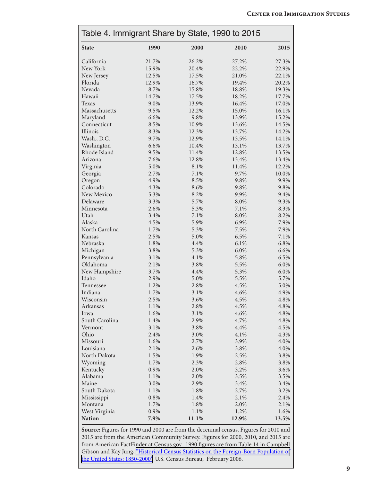|                |                                                                                              |       | Table 4. Immigrant Share by State, 1990 to 2015 |         |  |  |  |
|----------------|----------------------------------------------------------------------------------------------|-------|-------------------------------------------------|---------|--|--|--|
| <b>State</b>   | 1990                                                                                         | 2000  | 2010                                            | 2015    |  |  |  |
| California     | 21.7%                                                                                        | 26.2% | 27.2%                                           | 27.3%   |  |  |  |
| New York       | 15.9%                                                                                        | 20.4% | 22.2%                                           | 22.9%   |  |  |  |
| New Jersey     | 12.5%                                                                                        | 17.5% | 21.0%                                           | 22.1%   |  |  |  |
| Florida        | 12.9%                                                                                        | 16.7% | 19.4%                                           | 20.2%   |  |  |  |
| Nevada         | 8.7%                                                                                         | 15.8% | 18.8%                                           | 19.3%   |  |  |  |
| Hawaii         | 14.7%                                                                                        | 17.5% | 18.2%                                           | 17.7%   |  |  |  |
| Texas          | 9.0%                                                                                         | 13.9% | 16.4%                                           | 17.0%   |  |  |  |
| Massachusetts  | 9.5%                                                                                         | 12.2% | 15.0%                                           | 16.1%   |  |  |  |
| Maryland       | 6.6%                                                                                         | 9.8%  | 13.9%                                           | 15.2%   |  |  |  |
| Connecticut    | 8.5%                                                                                         | 10.9% | 13.6%                                           | 14.5%   |  |  |  |
| Illinois       | 8.3%                                                                                         | 12.3% | 13.7%                                           | 14.2%   |  |  |  |
| Wash., D.C.    | 9.7%                                                                                         | 12.9% | 13.5%                                           | 14.1%   |  |  |  |
| Washington     | 6.6%                                                                                         | 10.4% | 13.1%                                           | 13.7%   |  |  |  |
| Rhode Island   | 9.5%                                                                                         | 11.4% | 12.8%                                           | 13.5%   |  |  |  |
| Arizona        | 7.6%                                                                                         | 12.8% | 13.4%                                           | 13.4%   |  |  |  |
| Virginia       | 5.0%                                                                                         | 8.1%  | 11.4%                                           | 12.2%   |  |  |  |
| Georgia        | 2.7%                                                                                         | 7.1%  | 9.7%                                            | 10.0%   |  |  |  |
| Oregon         | 4.9%                                                                                         | 8.5%  | 9.8%                                            | 9.9%    |  |  |  |
| Colorado       | 4.3%                                                                                         | 8.6%  | 9.8%                                            | 9.8%    |  |  |  |
| New Mexico     | 5.3%                                                                                         | 8.2%  | 9.9%                                            | 9.4%    |  |  |  |
| Delaware       | 3.3%                                                                                         | 5.7%  | 8.0%                                            | 9.3%    |  |  |  |
| Minnesota      | 2.6%                                                                                         | 5.3%  | 7.1%                                            | 8.3%    |  |  |  |
| Utah           | 3.4%                                                                                         | 7.1%  | 8.0%                                            | 8.2%    |  |  |  |
| Alaska         | 4.5%                                                                                         | 5.9%  | 6.9%                                            | 7.9%    |  |  |  |
| North Carolina | 1.7%                                                                                         | 5.3%  | 7.5%                                            | 7.9%    |  |  |  |
| Kansas         | 2.5%                                                                                         | 5.0%  | 6.5%                                            | 7.1%    |  |  |  |
| Nebraska       | 1.8%                                                                                         | 4.4%  | 6.1%                                            | 6.8%    |  |  |  |
| Michigan       | 3.8%                                                                                         | 5.3%  | 6.0%                                            | 6.6%    |  |  |  |
| Pennsylvania   | 3.1%                                                                                         | 4.1%  | 5.8%                                            | 6.5%    |  |  |  |
| Oklahoma       | 2.1%                                                                                         | 3.8%  | 5.5%                                            | 6.0%    |  |  |  |
| New Hampshire  | 3.7%                                                                                         | 4.4%  | 5.3%                                            | 6.0%    |  |  |  |
| Idaho          | 2.9%                                                                                         | 5.0%  | 5.5%                                            | 5.7%    |  |  |  |
| Tennessee      | 1.2%                                                                                         | 2.8%  | 4.5%                                            | 5.0%    |  |  |  |
| Indiana        | 1.7%                                                                                         | 3.1%  | 4.6%                                            | 4.9%    |  |  |  |
| Wisconsin      | 2.5%                                                                                         | 3.6%  | 4.5%                                            | $4.8\%$ |  |  |  |
| Arkansas       | 1.1%                                                                                         | 2.8%  | 4.5%                                            | 4.8%    |  |  |  |
| Iowa           | 1.6%                                                                                         | 3.1%  | 4.6%                                            | 4.8%    |  |  |  |
| South Carolina | 1.4%                                                                                         | 2.9%  | 4.7%                                            | 4.8%    |  |  |  |
| Vermont        | 3.1%                                                                                         | 3.8%  | 4.4%                                            | 4.5%    |  |  |  |
| Ohio           | 2.4%                                                                                         | 3.0%  | 4.1%                                            | 4.3%    |  |  |  |
| Missouri       | 1.6%                                                                                         | 2.7%  | 3.9%                                            | 4.0%    |  |  |  |
| Louisiana      | 2.1%                                                                                         | 2.6%  | 3.8%                                            | 4.0%    |  |  |  |
| North Dakota   | 1.5%                                                                                         | 1.9%  | 2.5%                                            | 3.8%    |  |  |  |
| Wyoming        | 1.7%                                                                                         | 2.3%  | 2.8%                                            | 3.8%    |  |  |  |
| Kentucky       | 0.9%                                                                                         | 2.0%  | 3.2%                                            | 3.6%    |  |  |  |
| Alabama        | 1.1%                                                                                         | 2.0%  | 3.5%                                            | 3.5%    |  |  |  |
| Maine          | 3.0%                                                                                         | 2.9%  | 3.4%                                            | 3.4%    |  |  |  |
| South Dakota   | 1.1%                                                                                         | 1.8%  | 2.7%                                            | 3.2%    |  |  |  |
| Mississippi    | 0.8%                                                                                         | 1.4%  | 2.1%                                            | 2.4%    |  |  |  |
| Montana        | 1.7%                                                                                         | 1.8%  | 2.0%                                            | 2.1%    |  |  |  |
| West Virginia  | 0.9%                                                                                         | 1.1%  | 1.2%                                            | 1.6%    |  |  |  |
| <b>Nation</b>  | 7.9%                                                                                         | 11.1% | 12.9%                                           | 13.5%   |  |  |  |
|                | <b>Source:</b> Figures for 1990 and 2000 are from the decennial census. Figures for 2010 and |       |                                                 |         |  |  |  |

**Source:** Figures for 1990 and 2000 are from the decennial census. Figures for 2010 and 2015 are from the American Community Survey. Figures for 2000, 2010, and 2015 are from American FactFinder at Census.gov. 1990 figures are from Table 14 in Campbell Gibson and Kay Jung, ["Historical Census Statistics on the Foreign-Born Population of](https://www.census.gov/population/www/documentation/twps0081/twps0081.html) [the United States: 1850-2000",](https://www.census.gov/population/www/documentation/twps0081/twps0081.html) U.S. Census Bureau, February 2006.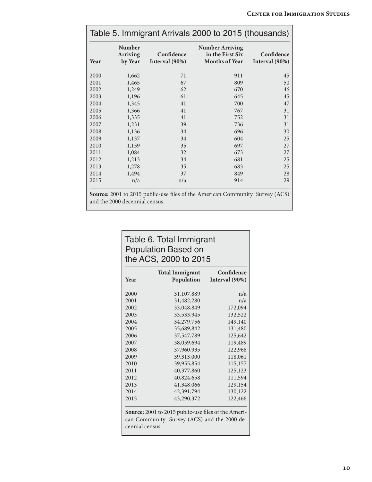| Table 5. Immigrant Arrivals 2000 to 2015 (thousands) |                                                                                                                |                              |                                                                     |                              |  |  |
|------------------------------------------------------|----------------------------------------------------------------------------------------------------------------|------------------------------|---------------------------------------------------------------------|------------------------------|--|--|
| Year                                                 | <b>Number</b><br><b>Arriving</b><br>by Year                                                                    | Confidence<br>Interval (90%) | <b>Number Arriving</b><br>in the First Six<br><b>Months of Year</b> | Confidence<br>Interval (90%) |  |  |
| 2000                                                 | 1,662                                                                                                          | 71                           | 911                                                                 | 45                           |  |  |
| 2001                                                 | 1,465                                                                                                          | 67                           | 809                                                                 | 50                           |  |  |
| 2002                                                 | 1,249                                                                                                          | 62                           | 670                                                                 | 46                           |  |  |
| 2003                                                 | 1,196                                                                                                          | 61                           | 645                                                                 | 45                           |  |  |
| 2004                                                 | 1,345                                                                                                          | 41                           | 700                                                                 | 47                           |  |  |
| 2005                                                 | 1,366                                                                                                          | 41                           | 767                                                                 | 31                           |  |  |
| 2006                                                 | 1,335                                                                                                          | 41                           | 752                                                                 | 31                           |  |  |
| 2007                                                 | 1,231                                                                                                          | 39                           | 736                                                                 | 31                           |  |  |
| 2008                                                 | 1,136                                                                                                          | 34                           | 696                                                                 | 30                           |  |  |
| 2009                                                 | 1,137                                                                                                          | 34                           | 604                                                                 | 25                           |  |  |
| 2010                                                 | 1,159                                                                                                          | 35                           | 697                                                                 | 27                           |  |  |
| 2011                                                 | 1,084                                                                                                          | 32                           | 673                                                                 | 27                           |  |  |
| 2012                                                 | 1,213                                                                                                          | 34                           | 681                                                                 | 25                           |  |  |
| 2013                                                 | 1,278                                                                                                          | 35                           | 683                                                                 | 25                           |  |  |
| 2014                                                 | 1,494                                                                                                          | 37                           | 849                                                                 | 28                           |  |  |
| 2015                                                 | n/a                                                                                                            | n/a                          | 914                                                                 | 29                           |  |  |
|                                                      | Source: 2001 to 2015 public-use files of the American Community Survey (ACS)<br>and the 2000 decennial census. |                              |                                                                     |                              |  |  |

## Table 6. Total Immigrant Population Based on the ACS, 2000 to 2015

| Year | <b>Total Immigrant</b><br><b>Population</b> | Confidence<br>Interval (90%) |
|------|---------------------------------------------|------------------------------|
| 2000 | 31,107,889                                  | n/a                          |
| 2001 | 31,482,280                                  | n/a                          |
| 2002 | 33,048,849                                  | 172,094                      |
| 2003 | 33,533,945                                  | 132,522                      |
| 2004 | 34,279,756                                  | 149,140                      |
| 2005 | 35,689,842                                  | 131,480                      |
| 2006 | 37,547,789                                  | 125,642                      |
| 2007 | 38,059,694                                  | 119,489                      |
| 2008 | 37,960,935                                  | 122,968                      |
| 2009 | 39,313,000                                  | 118,061                      |
| 2010 | 39,955,854                                  | 115,157                      |
| 2011 | 40,377,860                                  | 125,123                      |
| 2012 | 40,824,658                                  | 111,594                      |
| 2013 | 41,348,066                                  | 129,154                      |
| 2014 | 42,391,794                                  | 130,122                      |
| 2015 | 43,290,372                                  | 122,466                      |

**Source:** 2001 to 2015 public-use files of the American Community Survey (ACS) and the 2000 decennial census.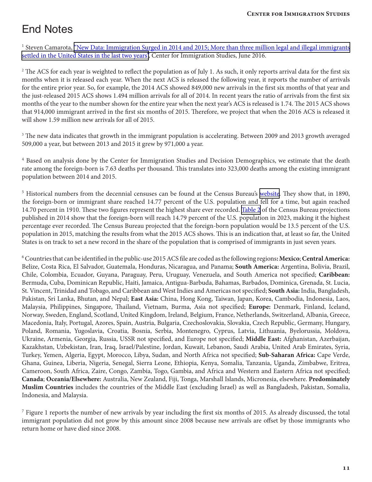## End Notes

<sup>1</sup> Steven Camarota, ["New Data: Immigration Surged in 2014 and 2015; More than three million legal and illegal immigrants](http://cis.org/New-Data-Immigration-Surged-in-2014-and-2015) [settled in the United States in the last two years",](http://cis.org/New-Data-Immigration-Surged-in-2014-and-2015) Center for Immigration Studies, June 2016.

 $^2$  The ACS for each year is weighted to reflect the population as of July 1. As such, it only reports arrival data for the first six months when it is released each year. When the next ACS is released the following year, it reports the number of arrivals for the entire prior year. So, for example, the 2014 ACS showed 849,000 new arrivals in the first six months of that year and the just-released 2015 ACS shows 1.494 million arrivals for all of 2014. In recent years the ratio of arrivals from the first six months of the year to the number shown for the entire year when the next year's ACS is released is 1.74. The 2015 ACS shows that 914,000 immigrant arrived in the first six months of 2015. Therefore, we project that when the 2016 ACS is released it will show 1.59 million new arrivals for all of 2015.

<sup>3</sup> The new data indicates that growth in the immigrant population is accelerating. Between 2009 and 2013 growth averaged 509,000 a year, but between 2013 and 2015 it grew by 971,000 a year.

<sup>4</sup> Based on analysis done by the Center for Immigration Studies and Decision Demographics, we estimate that the death rate among the foreign-born is 7.63 deaths per thousand. This translates into 323,000 deaths among the existing immigrant population between 2014 and 2015.

<sup>5</sup> Historical numbers from the decennial censuses can be found at the Census Bureau's [website](https://www.census.gov/population/www/documentation/twps0081/twps0081.html). They show that, in 1890, the foreign-born or immigrant share reached 14.77 percent of the U.S. population and fell for a time, but again reached 14.70 percent in 1910. These two figures represent the highest share ever recorded. [Table 2](https://www.census.gov/population/projections/data/national/2014/summarytables.html) of the Census Bureau projections published in 2014 show that the foreign-born will reach 14.79 percent of the U.S. population in 2023, making it the highest percentage ever recorded. The Census Bureau projected that the foreign-born population would be 13.5 percent of the U.S. population in 2015, matching the results from what the 2015 ACS shows. This is an indication that, at least so far, the United States is on track to set a new record in the share of the population that is comprised of immigrants in just seven years.

6Countries that can be identified in the public-use 2015 ACS file are coded as the following regions**: Mexico**; **Central America:** Belize, Costa Rica, El Salvador, Guatemala, Honduras, Nicaragua, and Panama; **South America:** Argentina, Bolivia, Brazil, Chile, Colombia, Ecuador, Guyana, Paraguay, Peru, Uruguay, Venezuela, and South America not specified; **Caribbean:**  Bermuda, Cuba, Dominican Republic, Haiti, Jamaica, Antigua-Barbuda, Bahamas, Barbados, Dominica, Grenada, St. Lucia, St. Vincent, Trinidad and Tobago, and Caribbean and West Indies and Americas not specified; **South Asia:** India, Bangladesh, Pakistan, Sri Lanka, Bhutan, and Nepal; **East Asia:** China, Hong Kong, Taiwan, Japan, Korea, Cambodia, Indonesia, Laos, Malaysia, Philippines, Singapore, Thailand, Vietnam, Burma, Asia not specified; **Europe:** Denmark, Finland, Iceland, Norway, Sweden, England, Scotland, United Kingdom, Ireland, Belgium, France, Netherlands, Switzerland, Albania, Greece, Macedonia, Italy, Portugal, Azores, Spain, Austria, Bulgaria, Czechoslovakia, Slovakia, Czech Republic, Germany, Hungary, Poland, Romania, Yugoslavia, Croatia, Bosnia, Serbia, Montenegro, Cyprus, Latvia, Lithuania, Byelorussia, Moldova, Ukraine, Armenia, Georgia, Russia, USSR not specified, and Europe not specified; **Middle East:** Afghanistan, Azerbaijan, Kazakhstan, Uzbekistan, Iran, Iraq, Israel/Palestine, Jordan, Kuwait, Lebanon, Saudi Arabia, United Arab Emirates, Syria, Turkey, Yemen, Algeria, Egypt, Morocco, Libya, Sudan, and North Africa not specified; **Sub-Saharan Africa:** Cape Verde, Ghana, Guinea, Liberia, Nigeria, Senegal, Sierra Leone, Ethiopia, Kenya, Somalia, Tanzania, Uganda, Zimbabwe, Eritrea, Cameroon, South Africa, Zaire, Congo, Zambia, Togo, Gambia, and Africa and Western and Eastern Africa not specified; **Canada**; **Oceania/Elsewhere:** Australia, New Zealand, Fiji, Tonga, Marshall Islands, Micronesia, elsewhere. **Predominately Muslim Countries** includes the countries of the Middle East (excluding Israel) as well as Bangladesh, Pakistan, Somalia, Indonesia, and Malaysia.

 $\frac{7}{7}$  Figure 1 reports the number of new arrivals by year including the first six months of 2015. As already discussed, the total immigrant population did not grow by this amount since 2008 because new arrivals are offset by those immigrants who return home or have died since 2008.